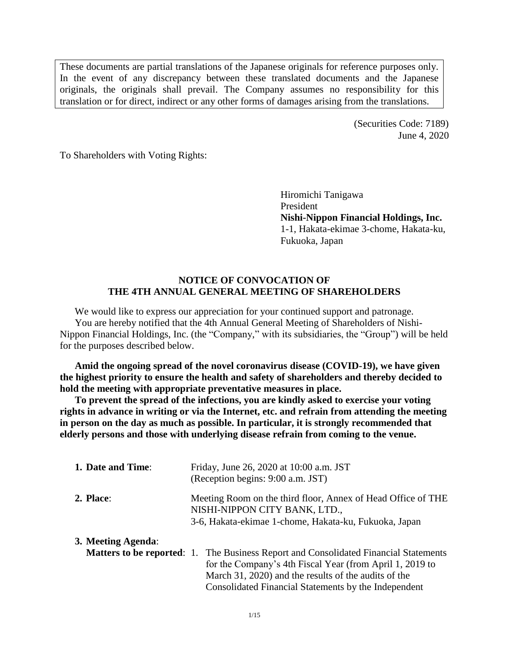These documents are partial translations of the Japanese originals for reference purposes only. In the event of any discrepancy between these translated documents and the Japanese originals, the originals shall prevail. The Company assumes no responsibility for this translation or for direct, indirect or any other forms of damages arising from the translations.

> (Securities Code: 7189) June 4, 2020

To Shareholders with Voting Rights:

Hiromichi Tanigawa President **Nishi-Nippon Financial Holdings, Inc.** 1-1, Hakata-ekimae 3-chome, Hakata-ku, Fukuoka, Japan

# **NOTICE OF CONVOCATION OF THE 4TH ANNUAL GENERAL MEETING OF SHAREHOLDERS**

We would like to express our appreciation for your continued support and patronage. You are hereby notified that the 4th Annual General Meeting of Shareholders of Nishi-Nippon Financial Holdings, Inc. (the "Company," with its subsidiaries, the "Group") will be held for the purposes described below.

**Amid the ongoing spread of the novel coronavirus disease (COVID-19), we have given the highest priority to ensure the health and safety of shareholders and thereby decided to hold the meeting with appropriate preventative measures in place.**

**To prevent the spread of the infections, you are kindly asked to exercise your voting rights in advance in writing or via the Internet, etc. and refrain from attending the meeting in person on the day as much as possible. In particular, it is strongly recommended that elderly persons and those with underlying disease refrain from coming to the venue.**

| 1. Date and Time:  | Friday, June 26, 2020 at 10:00 a.m. JST<br>(Reception begins: 9:00 a.m. JST)                                                                           |  |  |  |
|--------------------|--------------------------------------------------------------------------------------------------------------------------------------------------------|--|--|--|
| 2. Place:          | Meeting Room on the third floor, Annex of Head Office of THE<br>NISHI-NIPPON CITY BANK, LTD.,<br>3-6, Hakata-ekimae 1-chome, Hakata-ku, Fukuoka, Japan |  |  |  |
| 3. Meeting Agenda: |                                                                                                                                                        |  |  |  |
|                    | <b>Matters to be reported:</b> 1. The Business Report and Consolidated Financial Statements                                                            |  |  |  |
|                    | for the Company's 4th Fiscal Year (from April 1, 2019 to                                                                                               |  |  |  |
|                    | March 31, 2020) and the results of the audits of the                                                                                                   |  |  |  |
|                    | Consolidated Financial Statements by the Independent                                                                                                   |  |  |  |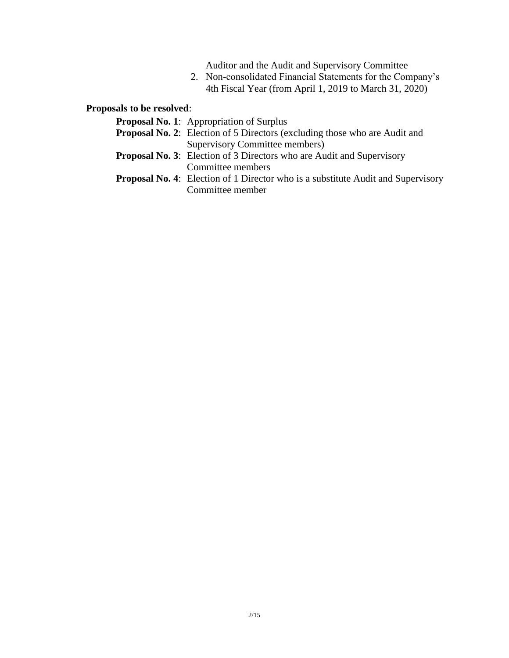Auditor and the Audit and Supervisory Committee

2. Non-consolidated Financial Statements for the Company's 4th Fiscal Year (from April 1, 2019 to March 31, 2020)

**Proposals to be resolved**:

| <b>Proposal No. 1:</b> Appropriation of Surplus                                         |
|-----------------------------------------------------------------------------------------|
| <b>Proposal No. 2:</b> Election of 5 Directors (excluding those who are Audit and       |
| Supervisory Committee members)                                                          |
| <b>Proposal No. 3:</b> Election of 3 Directors who are Audit and Supervisory            |
| Committee members                                                                       |
| <b>Proposal No. 4:</b> Election of 1 Director who is a substitute Audit and Supervisory |
| Committee member                                                                        |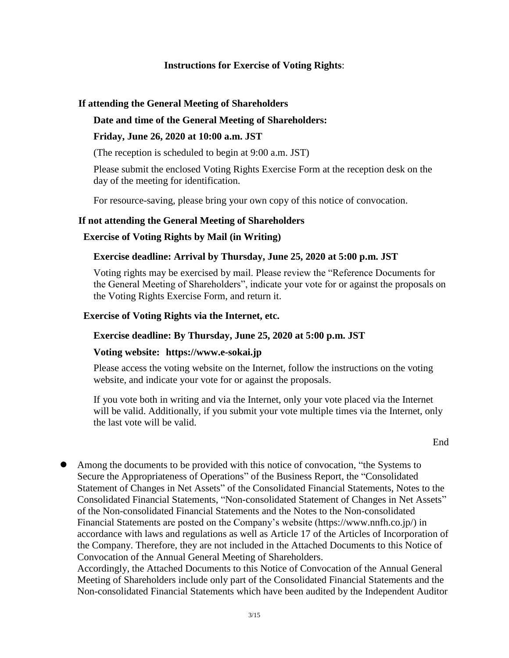# **Instructions for Exercise of Voting Rights**:

# **If attending the General Meeting of Shareholders**

# **Date and time of the General Meeting of Shareholders:**

#### **Friday, June 26, 2020 at 10:00 a.m. JST**

(The reception is scheduled to begin at 9:00 a.m. JST)

Please submit the enclosed Voting Rights Exercise Form at the reception desk on the day of the meeting for identification.

For resource-saving, please bring your own copy of this notice of convocation.

# **If not attending the General Meeting of Shareholders**

# **Exercise of Voting Rights by Mail (in Writing)**

#### **Exercise deadline: Arrival by Thursday, June 25, 2020 at 5:00 p.m. JST**

Voting rights may be exercised by mail. Please review the "Reference Documents for the General Meeting of Shareholders", indicate your vote for or against the proposals on the Voting Rights Exercise Form, and return it.

#### **Exercise of Voting Rights via the Internet, etc.**

#### **Exercise deadline: By Thursday, June 25, 2020 at 5:00 p.m. JST**

#### **Voting website: https://www.e-sokai.jp**

Please access the voting website on the Internet, follow the instructions on the voting website, and indicate your vote for or against the proposals.

If you vote both in writing and via the Internet, only your vote placed via the Internet will be valid. Additionally, if you submit your vote multiple times via the Internet, only the last vote will be valid.

 Among the documents to be provided with this notice of convocation, "the Systems to Secure the Appropriateness of Operations" of the Business Report, the "Consolidated Statement of Changes in Net Assets" of the Consolidated Financial Statements, Notes to the Consolidated Financial Statements, "Non-consolidated Statement of Changes in Net Assets" of the Non-consolidated Financial Statements and the Notes to the Non-consolidated Financial Statements are posted on the Company's website (https://www.nnfh.co.jp/) in accordance with laws and regulations as well as Article 17 of the Articles of Incorporation of the Company. Therefore, they are not included in the Attached Documents to this Notice of Convocation of the Annual General Meeting of Shareholders.

Accordingly, the Attached Documents to this Notice of Convocation of the Annual General Meeting of Shareholders include only part of the Consolidated Financial Statements and the Non-consolidated Financial Statements which have been audited by the Independent Auditor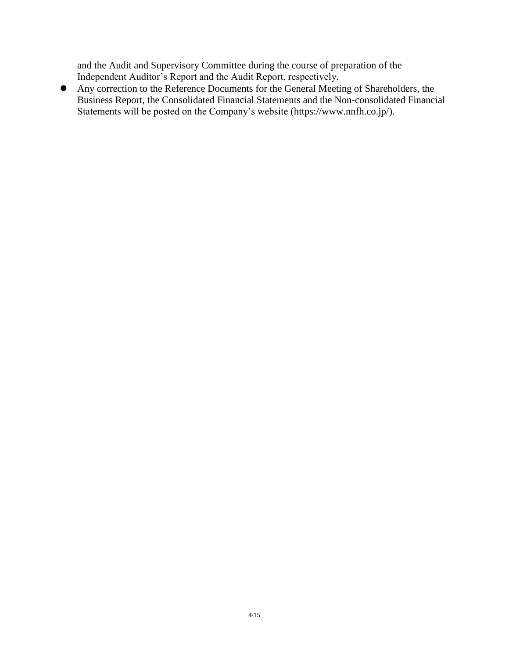and the Audit and Supervisory Committee during the course of preparation of the Independent Auditor's Report and the Audit Report, respectively.

 Any correction to the Reference Documents for the General Meeting of Shareholders, the Business Report, the Consolidated Financial Statements and the Non-consolidated Financial Statements will be posted on the Company's website (https://www.nnfh.co.jp/).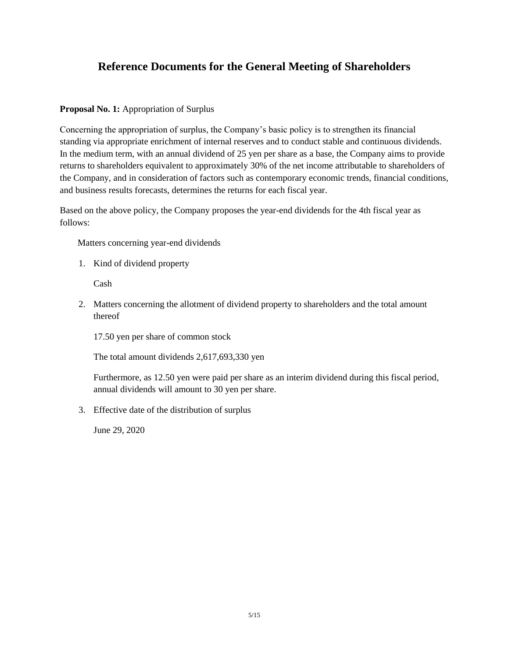# **Reference Documents for the General Meeting of Shareholders**

#### **Proposal No. 1:** Appropriation of Surplus

Concerning the appropriation of surplus, the Company's basic policy is to strengthen its financial standing via appropriate enrichment of internal reserves and to conduct stable and continuous dividends. In the medium term, with an annual dividend of 25 yen per share as a base, the Company aims to provide returns to shareholders equivalent to approximately 30% of the net income attributable to shareholders of the Company, and in consideration of factors such as contemporary economic trends, financial conditions, and business results forecasts, determines the returns for each fiscal year.

Based on the above policy, the Company proposes the year-end dividends for the 4th fiscal year as follows:

Matters concerning year-end dividends

1. Kind of dividend property

Cash

2. Matters concerning the allotment of dividend property to shareholders and the total amount thereof

17.50 yen per share of common stock

The total amount dividends 2,617,693,330 yen

Furthermore, as 12.50 yen were paid per share as an interim dividend during this fiscal period, annual dividends will amount to 30 yen per share.

3. Effective date of the distribution of surplus

June 29, 2020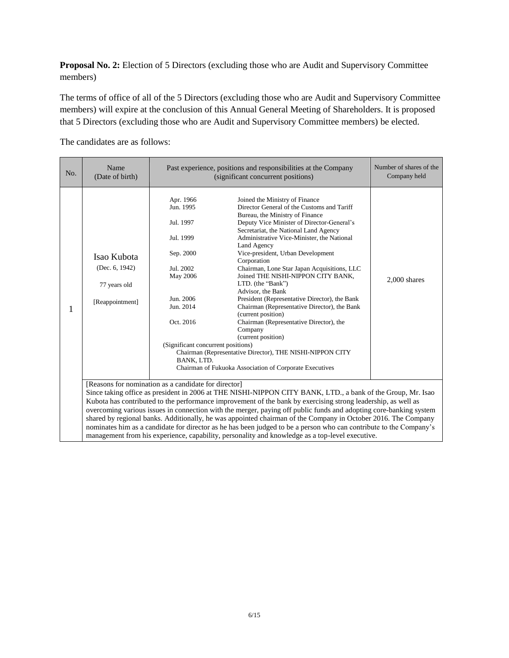**Proposal No. 2:** Election of 5 Directors (excluding those who are Audit and Supervisory Committee members)

The terms of office of all of the 5 Directors (excluding those who are Audit and Supervisory Committee members) will expire at the conclusion of this Annual General Meeting of Shareholders. It is proposed that 5 Directors (excluding those who are Audit and Supervisory Committee members) be elected.

The candidates are as follows:

| No.                                                                                                                                                                                                                                                                                                                                                                                                                                                                                                                                                                                                                                                                                                                                                 | Name<br>(Date of birth)                                             | Past experience, positions and responsibilities at the Company<br>(significant concurrent positions)                                                                              | Number of shares of the<br>Company held                                                                                                                                                                                                                                                                                                                                                                                                                                                                                                                                                                                                                                                                                                                                           |                |
|-----------------------------------------------------------------------------------------------------------------------------------------------------------------------------------------------------------------------------------------------------------------------------------------------------------------------------------------------------------------------------------------------------------------------------------------------------------------------------------------------------------------------------------------------------------------------------------------------------------------------------------------------------------------------------------------------------------------------------------------------------|---------------------------------------------------------------------|-----------------------------------------------------------------------------------------------------------------------------------------------------------------------------------|-----------------------------------------------------------------------------------------------------------------------------------------------------------------------------------------------------------------------------------------------------------------------------------------------------------------------------------------------------------------------------------------------------------------------------------------------------------------------------------------------------------------------------------------------------------------------------------------------------------------------------------------------------------------------------------------------------------------------------------------------------------------------------------|----------------|
| 1                                                                                                                                                                                                                                                                                                                                                                                                                                                                                                                                                                                                                                                                                                                                                   | Isao Kubota<br>(Dec. $6, 1942$ )<br>77 years old<br>[Reappointment] | Apr. 1966<br>Jun. 1995<br>Jul. 1997<br>Jul. 1999<br>Sep. 2000<br>Jul. 2002<br>May 2006<br>Jun. 2006<br>Jun. 2014<br>Oct. 2016<br>(Significant concurrent positions)<br>BANK, LTD. | Joined the Ministry of Finance<br>Director General of the Customs and Tariff<br>Bureau, the Ministry of Finance<br>Deputy Vice Minister of Director-General's<br>Secretariat, the National Land Agency<br>Administrative Vice-Minister, the National<br>Land Agency<br>Vice-president, Urban Development<br>Corporation<br>Chairman, Lone Star Japan Acquisitions, LLC<br>Joined THE NISHI-NIPPON CITY BANK,<br>LTD. (the "Bank")<br>Advisor, the Bank<br>President (Representative Director), the Bank<br>Chairman (Representative Director), the Bank<br>(current position)<br>Chairman (Representative Director), the<br>Company<br>(current position)<br>Chairman (Representative Director), THE NISHI-NIPPON CITY<br>Chairman of Fukuoka Association of Corporate Executives | $2,000$ shares |
| [Reasons for nomination as a candidate for director]<br>Since taking office as president in 2006 at THE NISHI-NIPPON CITY BANK, LTD., a bank of the Group, Mr. Isao<br>Kubota has contributed to the performance improvement of the bank by exercising strong leadership, as well as<br>overcoming various issues in connection with the merger, paying off public funds and adopting core-banking system<br>shared by regional banks. Additionally, he was appointed chairman of the Company in October 2016. The Company<br>nominates him as a candidate for director as he has been judged to be a person who can contribute to the Company's<br>management from his experience, capability, personality and knowledge as a top-level executive. |                                                                     |                                                                                                                                                                                   |                                                                                                                                                                                                                                                                                                                                                                                                                                                                                                                                                                                                                                                                                                                                                                                   |                |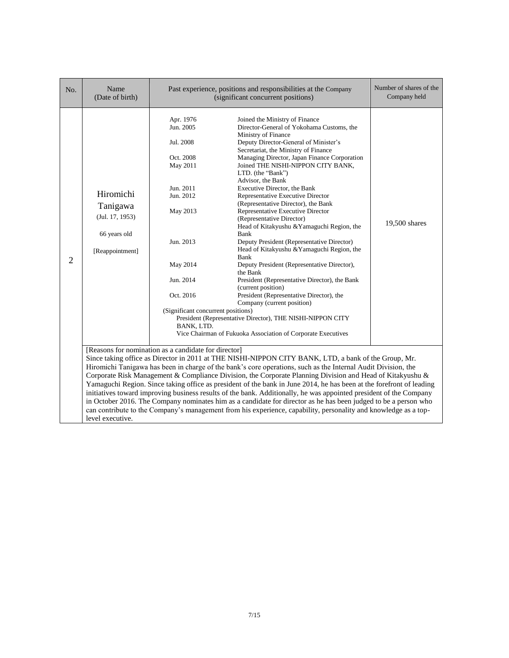| No. | Name<br>(Date of birth)                                                                                                                                                                                                                                                                                                                                                                                                                                                                                                                                                                                                                                                                                                                                                                                                                                                                            |                                                                                                                                                                                                           | Past experience, positions and responsibilities at the Company<br>(significant concurrent positions)                                                                                                                                                                                                                                                                                                                                                                                                                                                                                                                                                                                                                                                                                                                                                                                                                                                                                                  | Number of shares of the<br>Company held |  |
|-----|----------------------------------------------------------------------------------------------------------------------------------------------------------------------------------------------------------------------------------------------------------------------------------------------------------------------------------------------------------------------------------------------------------------------------------------------------------------------------------------------------------------------------------------------------------------------------------------------------------------------------------------------------------------------------------------------------------------------------------------------------------------------------------------------------------------------------------------------------------------------------------------------------|-----------------------------------------------------------------------------------------------------------------------------------------------------------------------------------------------------------|-------------------------------------------------------------------------------------------------------------------------------------------------------------------------------------------------------------------------------------------------------------------------------------------------------------------------------------------------------------------------------------------------------------------------------------------------------------------------------------------------------------------------------------------------------------------------------------------------------------------------------------------------------------------------------------------------------------------------------------------------------------------------------------------------------------------------------------------------------------------------------------------------------------------------------------------------------------------------------------------------------|-----------------------------------------|--|
| 2   | Hiromichi<br>Tanigawa<br>(Jul. 17, 1953)<br>66 years old<br>[Reappointment]                                                                                                                                                                                                                                                                                                                                                                                                                                                                                                                                                                                                                                                                                                                                                                                                                        | Apr. 1976<br>Jun. 2005<br>Jul. 2008<br>Oct. 2008<br>May 2011<br>Jun. 2011<br>Jun. 2012<br>May 2013<br>Jun. 2013<br>May 2014<br>Jun. 2014<br>Oct. 2016<br>(Significant concurrent positions)<br>BANK, LTD. | Joined the Ministry of Finance<br>Director-General of Yokohama Customs, the<br>Ministry of Finance<br>Deputy Director-General of Minister's<br>Secretariat, the Ministry of Finance<br>Managing Director, Japan Finance Corporation<br>Joined THE NISHI-NIPPON CITY BANK,<br>LTD. (the "Bank")<br>Advisor, the Bank<br>Executive Director, the Bank<br>Representative Executive Director<br>(Representative Director), the Bank<br>Representative Executive Director<br>(Representative Director)<br>Head of Kitakyushu & Yamaguchi Region, the<br>Bank<br>Deputy President (Representative Director)<br>Head of Kitakyushu & Yamaguchi Region, the<br>Bank<br>Deputy President (Representative Director),<br>the Bank<br>President (Representative Director), the Bank<br>(current position)<br>President (Representative Director), the<br>Company (current position)<br>President (Representative Director), THE NISHI-NIPPON CITY<br>Vice Chairman of Fukuoka Association of Corporate Executives | 19,500 shares                           |  |
|     | [Reasons for nomination as a candidate for director]<br>Since taking office as Director in 2011 at THE NISHI-NIPPON CITY BANK, LTD, a bank of the Group, Mr.<br>Hiromichi Tanigawa has been in charge of the bank's core operations, such as the Internal Audit Division, the<br>Corporate Risk Management & Compliance Division, the Corporate Planning Division and Head of Kitakyushu &<br>Yamaguchi Region. Since taking office as president of the bank in June 2014, he has been at the forefront of leading<br>initiatives toward improving business results of the bank. Additionally, he was appointed president of the Company<br>in October 2016. The Company nominates him as a candidate for director as he has been judged to be a person who<br>can contribute to the Company's management from his experience, capability, personality and knowledge as a top-<br>level executive. |                                                                                                                                                                                                           |                                                                                                                                                                                                                                                                                                                                                                                                                                                                                                                                                                                                                                                                                                                                                                                                                                                                                                                                                                                                       |                                         |  |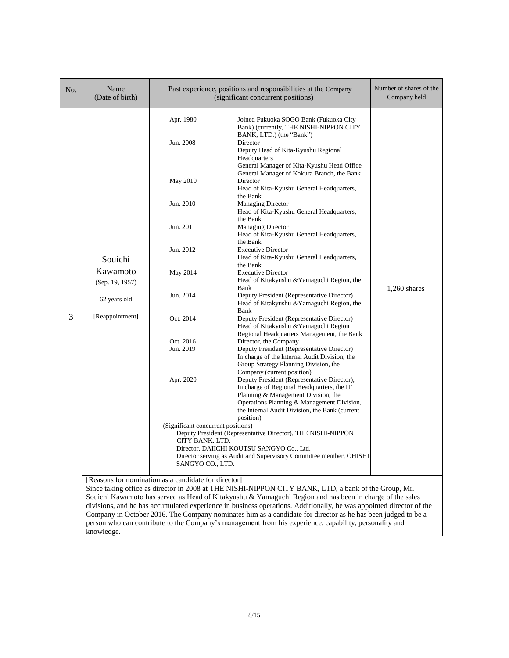| No. | Name<br>(Date of birth)                                                                                                                                                                                                                                                                                                                                                                                                                                                                                                                                                                                                                 | Past experience, positions and responsibilities at the Company<br>(significant concurrent positions)                                                                                         |                                                                                                                                                                                                                                                                                                                                                                                                                                                                                                                                                                                                                                                                                                                                                                                                                                                                                                                                                                                                                                                                                                                                                                                                                                                                                                                                                                                                                                                               | Number of shares of the<br>Company held |  |
|-----|-----------------------------------------------------------------------------------------------------------------------------------------------------------------------------------------------------------------------------------------------------------------------------------------------------------------------------------------------------------------------------------------------------------------------------------------------------------------------------------------------------------------------------------------------------------------------------------------------------------------------------------------|----------------------------------------------------------------------------------------------------------------------------------------------------------------------------------------------|---------------------------------------------------------------------------------------------------------------------------------------------------------------------------------------------------------------------------------------------------------------------------------------------------------------------------------------------------------------------------------------------------------------------------------------------------------------------------------------------------------------------------------------------------------------------------------------------------------------------------------------------------------------------------------------------------------------------------------------------------------------------------------------------------------------------------------------------------------------------------------------------------------------------------------------------------------------------------------------------------------------------------------------------------------------------------------------------------------------------------------------------------------------------------------------------------------------------------------------------------------------------------------------------------------------------------------------------------------------------------------------------------------------------------------------------------------------|-----------------------------------------|--|
| 3   | Souichi<br>Kawamoto<br>(Sep. 19, 1957)<br>62 years old<br>[Reappointment]                                                                                                                                                                                                                                                                                                                                                                                                                                                                                                                                                               | Apr. 1980<br>Jun. 2008<br>May 2010<br>Jun. 2010<br>Jun. 2011<br>Jun. 2012<br>May 2014<br>Jun. 2014<br>Oct. 2014<br>Oct. 2016<br>Jun. 2019<br>Apr. 2020<br>(Significant concurrent positions) | Joined Fukuoka SOGO Bank (Fukuoka City<br>Bank) (currently, THE NISHI-NIPPON CITY<br>BANK, LTD.) (the "Bank")<br>Director<br>Deputy Head of Kita-Kyushu Regional<br>Headquarters<br>General Manager of Kita-Kyushu Head Office<br>General Manager of Kokura Branch, the Bank<br>Director<br>Head of Kita-Kyushu General Headquarters,<br>the Bank<br><b>Managing Director</b><br>Head of Kita-Kyushu General Headquarters,<br>the Bank<br><b>Managing Director</b><br>Head of Kita-Kyushu General Headquarters,<br>the Bank<br><b>Executive Director</b><br>Head of Kita-Kyushu General Headquarters,<br>the Bank<br><b>Executive Director</b><br>Head of Kitakyushu & Yamaguchi Region, the<br>Bank<br>Deputy President (Representative Director)<br>Head of Kitakyushu & Yamaguchi Region, the<br>Bank<br>Deputy President (Representative Director)<br>Head of Kitakyushu & Yamaguchi Region<br>Regional Headquarters Management, the Bank<br>Director, the Company<br>Deputy President (Representative Director)<br>In charge of the Internal Audit Division, the<br>Group Strategy Planning Division, the<br>Company (current position)<br>Deputy President (Representative Director),<br>In charge of Regional Headquarters, the IT<br>Planning & Management Division, the<br>Operations Planning & Management Division,<br>the Internal Audit Division, the Bank (current<br>position)<br>Deputy President (Representative Director), THE NISHI-NIPPON | 1,260 shares                            |  |
|     |                                                                                                                                                                                                                                                                                                                                                                                                                                                                                                                                                                                                                                         | CITY BANK, LTD.<br>SANGYO CO., LTD.                                                                                                                                                          | Director. DAIICHI KOUTSU SANGYO Co Ltd.<br>Director serving as Audit and Supervisory Committee member, OHISHI                                                                                                                                                                                                                                                                                                                                                                                                                                                                                                                                                                                                                                                                                                                                                                                                                                                                                                                                                                                                                                                                                                                                                                                                                                                                                                                                                 |                                         |  |
|     | [Reasons for nomination as a candidate for director]<br>Since taking office as director in 2008 at THE NISHI-NIPPON CITY BANK, LTD, a bank of the Group, Mr.<br>Souichi Kawamoto has served as Head of Kitakyushu & Yamaguchi Region and has been in charge of the sales<br>divisions, and he has accumulated experience in business operations. Additionally, he was appointed director of the<br>Company in October 2016. The Company nominates him as a candidate for director as he has been judged to be a<br>person who can contribute to the Company's management from his experience, capability, personality and<br>knowledge. |                                                                                                                                                                                              |                                                                                                                                                                                                                                                                                                                                                                                                                                                                                                                                                                                                                                                                                                                                                                                                                                                                                                                                                                                                                                                                                                                                                                                                                                                                                                                                                                                                                                                               |                                         |  |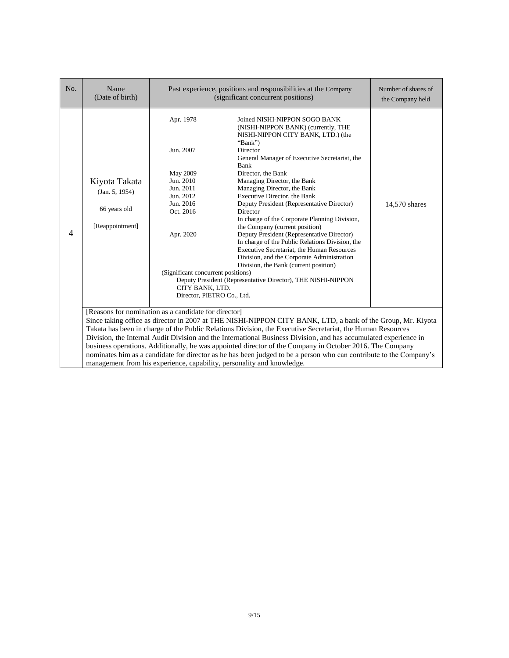| No. | Name<br>(Date of birth)                                                                                                                                                                                                                                                                                                                                                                                                                                                                                                                                                                                                                                                                                           | Past experience, positions and responsibilities at the Company<br>(significant concurrent positions)                                                                                                    |                                                                                                                                                                                                                                                                                                                                                                                                                                                                                                                                                                                                                                                                                                                                                                   | Number of shares of<br>the Company held |  |
|-----|-------------------------------------------------------------------------------------------------------------------------------------------------------------------------------------------------------------------------------------------------------------------------------------------------------------------------------------------------------------------------------------------------------------------------------------------------------------------------------------------------------------------------------------------------------------------------------------------------------------------------------------------------------------------------------------------------------------------|---------------------------------------------------------------------------------------------------------------------------------------------------------------------------------------------------------|-------------------------------------------------------------------------------------------------------------------------------------------------------------------------------------------------------------------------------------------------------------------------------------------------------------------------------------------------------------------------------------------------------------------------------------------------------------------------------------------------------------------------------------------------------------------------------------------------------------------------------------------------------------------------------------------------------------------------------------------------------------------|-----------------------------------------|--|
| 4   | Kiyota Takata<br>(Jan. 5, 1954)<br>66 years old<br>[Reappointment]                                                                                                                                                                                                                                                                                                                                                                                                                                                                                                                                                                                                                                                | Apr. 1978<br>Jun. 2007<br>May 2009<br>Jun. 2010<br>Jun. 2011<br>Jun. 2012<br>Jun. 2016<br>Oct. 2016<br>Apr. 2020<br>(Significant concurrent positions)<br>CITY BANK, LTD.<br>Director, PIETRO Co., Ltd. | Joined NISHI-NIPPON SOGO BANK<br>(NISHI-NIPPON BANK) (currently, THE<br>NISHI-NIPPON CITY BANK, LTD.) (the<br>"Bank")<br>Director<br>General Manager of Executive Secretariat, the<br>Bank<br>Director, the Bank<br>Managing Director, the Bank<br>Managing Director, the Bank<br>Executive Director, the Bank<br>Deputy President (Representative Director)<br>Director<br>In charge of the Corporate Planning Division,<br>the Company (current position)<br>Deputy President (Representative Director)<br>In charge of the Public Relations Division, the<br>Executive Secretariat, the Human Resources<br>Division, and the Corporate Administration<br>Division, the Bank (current position)<br>Deputy President (Representative Director), THE NISHI-NIPPON | 14,570 shares                           |  |
|     | [Reasons for nomination as a candidate for director]<br>Since taking office as director in 2007 at THE NISHI-NIPPON CITY BANK, LTD, a bank of the Group, Mr. Kiyota<br>Takata has been in charge of the Public Relations Division, the Executive Secretariat, the Human Resources<br>Division, the Internal Audit Division and the International Business Division, and has accumulated experience in<br>business operations. Additionally, he was appointed director of the Company in October 2016. The Company<br>nominates him as a candidate for director as he has been judged to be a person who can contribute to the Company's<br>management from his experience, capability, personality and knowledge. |                                                                                                                                                                                                         |                                                                                                                                                                                                                                                                                                                                                                                                                                                                                                                                                                                                                                                                                                                                                                   |                                         |  |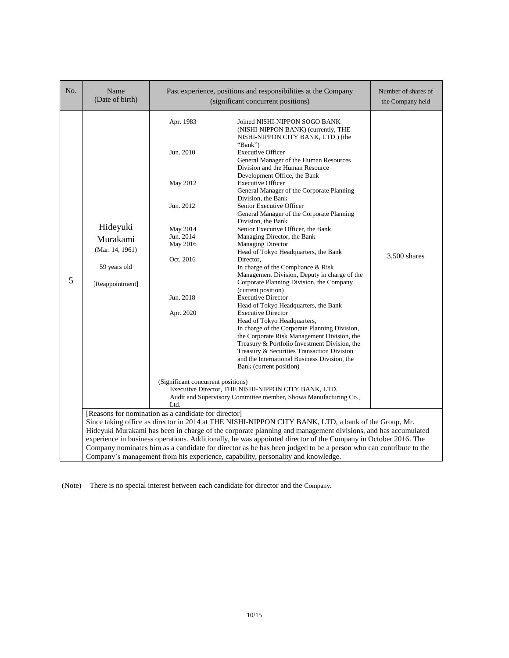| No. | Name<br>(Date of birth)                                                    |                                                                                                                                                                                                                                                                                                                                                                                                                                                                                                                                                                                                                           | Past experience, positions and responsibilities at the Company<br>(significant concurrent positions)                                                                                                                                                                                                                                                                                                                                                                                                                                                                                                                                                                                                                                                 | Number of shares of<br>the Company held |  |  |
|-----|----------------------------------------------------------------------------|---------------------------------------------------------------------------------------------------------------------------------------------------------------------------------------------------------------------------------------------------------------------------------------------------------------------------------------------------------------------------------------------------------------------------------------------------------------------------------------------------------------------------------------------------------------------------------------------------------------------------|------------------------------------------------------------------------------------------------------------------------------------------------------------------------------------------------------------------------------------------------------------------------------------------------------------------------------------------------------------------------------------------------------------------------------------------------------------------------------------------------------------------------------------------------------------------------------------------------------------------------------------------------------------------------------------------------------------------------------------------------------|-----------------------------------------|--|--|
| 5   | Hideyuki<br>Murakami<br>(Mar. 14, 1961)<br>59 years old<br>[Reappointment] | Apr. 1983<br>Jun. 2010<br>May 2012<br>Jun. 2012<br>May 2014<br>Jun. 2014<br>May 2016<br>Oct. 2016                                                                                                                                                                                                                                                                                                                                                                                                                                                                                                                         | Joined NISHI-NIPPON SOGO BANK<br>(NISHI-NIPPON BANK) (currently, THE<br>NISHI-NIPPON CITY BANK, LTD.) (the<br>"Bank")<br><b>Executive Officer</b><br>General Manager of the Human Resources<br>Division and the Human Resource<br>Development Office, the Bank<br><b>Executive Officer</b><br>General Manager of the Corporate Planning<br>Division, the Bank<br>Senior Executive Officer<br>General Manager of the Corporate Planning<br>Division, the Bank<br>Senior Executive Officer, the Bank<br>Managing Director, the Bank<br><b>Managing Director</b><br>Head of Tokyo Headquarters, the Bank<br>Director.<br>In charge of the Compliance & Risk<br>Management Division, Deputy in charge of the<br>Corporate Planning Division, the Company | 3,500 shares                            |  |  |
|     |                                                                            | (current position)<br>Jun. 2018<br><b>Executive Director</b><br>Head of Tokyo Headquarters, the Bank<br>Apr. 2020<br><b>Executive Director</b><br>Head of Tokyo Headquarters,<br>In charge of the Corporate Planning Division,<br>the Corporate Risk Management Division, the<br>Treasury & Portfolio Investment Division, the<br>Treasury & Securities Transaction Division<br>and the International Business Division, the<br>Bank (current position)<br>(Significant concurrent positions)<br>Executive Director, THE NISHI-NIPPON CITY BANK, LTD.<br>Audit and Supervisory Committee member, Showa Manufacturing Co., |                                                                                                                                                                                                                                                                                                                                                                                                                                                                                                                                                                                                                                                                                                                                                      |                                         |  |  |
|     |                                                                            | Ltd.                                                                                                                                                                                                                                                                                                                                                                                                                                                                                                                                                                                                                      |                                                                                                                                                                                                                                                                                                                                                                                                                                                                                                                                                                                                                                                                                                                                                      |                                         |  |  |
|     |                                                                            | [Reasons for nomination as a candidate for director]                                                                                                                                                                                                                                                                                                                                                                                                                                                                                                                                                                      |                                                                                                                                                                                                                                                                                                                                                                                                                                                                                                                                                                                                                                                                                                                                                      |                                         |  |  |
|     |                                                                            |                                                                                                                                                                                                                                                                                                                                                                                                                                                                                                                                                                                                                           | Since taking office as director in 2014 at THE NISHI-NIPPON CITY BANK, LTD, a bank of the Group, Mr.                                                                                                                                                                                                                                                                                                                                                                                                                                                                                                                                                                                                                                                 |                                         |  |  |
|     |                                                                            |                                                                                                                                                                                                                                                                                                                                                                                                                                                                                                                                                                                                                           | Hideyuki Murakami has been in charge of the corporate planning and management divisions, and has accumulated                                                                                                                                                                                                                                                                                                                                                                                                                                                                                                                                                                                                                                         |                                         |  |  |
|     |                                                                            |                                                                                                                                                                                                                                                                                                                                                                                                                                                                                                                                                                                                                           | experience in business operations. Additionally, he was appointed director of the Company in October 2016. The                                                                                                                                                                                                                                                                                                                                                                                                                                                                                                                                                                                                                                       |                                         |  |  |
|     |                                                                            |                                                                                                                                                                                                                                                                                                                                                                                                                                                                                                                                                                                                                           | Company nominates him as a candidate for director as he has been judged to be a person who can contribute to the                                                                                                                                                                                                                                                                                                                                                                                                                                                                                                                                                                                                                                     |                                         |  |  |
|     |                                                                            | Company's management from his experience, capability, personality and knowledge.                                                                                                                                                                                                                                                                                                                                                                                                                                                                                                                                          |                                                                                                                                                                                                                                                                                                                                                                                                                                                                                                                                                                                                                                                                                                                                                      |                                         |  |  |

(Note) There is no special interest between each candidate for director and the Company.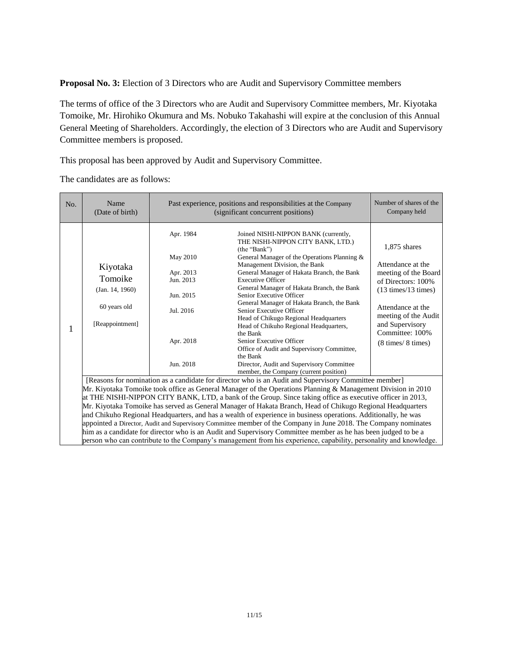**Proposal No. 3:** Election of 3 Directors who are Audit and Supervisory Committee members

The terms of office of the 3 Directors who are Audit and Supervisory Committee members, Mr. Kiyotaka Tomoike, Mr. Hirohiko Okumura and Ms. Nobuko Takahashi will expire at the conclusion of this Annual General Meeting of Shareholders. Accordingly, the election of 3 Directors who are Audit and Supervisory Committee members is proposed.

This proposal has been approved by Audit and Supervisory Committee.

The candidates are as follows:

| No. | Name<br>(Date of birth)                                                                                                                                                                                                           | Past experience, positions and responsibilities at the Company<br>(significant concurrent positions)                                                                                                                                                                                                                                                                                                                                              | Number of shares of the<br>Company held                                                                                                                                                                                                                                                                                                                                                                                                                                                                                                                                                                                                                                              |                                                                                                                                                                                                                                         |  |
|-----|-----------------------------------------------------------------------------------------------------------------------------------------------------------------------------------------------------------------------------------|---------------------------------------------------------------------------------------------------------------------------------------------------------------------------------------------------------------------------------------------------------------------------------------------------------------------------------------------------------------------------------------------------------------------------------------------------|--------------------------------------------------------------------------------------------------------------------------------------------------------------------------------------------------------------------------------------------------------------------------------------------------------------------------------------------------------------------------------------------------------------------------------------------------------------------------------------------------------------------------------------------------------------------------------------------------------------------------------------------------------------------------------------|-----------------------------------------------------------------------------------------------------------------------------------------------------------------------------------------------------------------------------------------|--|
| 1   | Kiyotaka<br>Tomoike<br>(Jan. 14, 1960)<br>60 years old<br>[Reappointment]                                                                                                                                                         | Apr. 1984<br>May 2010<br>Apr. 2013<br>Jun. 2013<br>Jun. 2015<br>Jul. 2016<br>Apr. 2018<br>Jun. 2018                                                                                                                                                                                                                                                                                                                                               | Joined NISHI-NIPPON BANK (currently,<br>THE NISHI-NIPPON CITY BANK, LTD.)<br>(the "Bank")<br>General Manager of the Operations Planning &<br>Management Division, the Bank<br>General Manager of Hakata Branch, the Bank<br><b>Executive Officer</b><br>General Manager of Hakata Branch, the Bank<br>Senior Executive Officer<br>General Manager of Hakata Branch, the Bank<br>Senior Executive Officer<br>Head of Chikugo Regional Headquarters<br>Head of Chikuho Regional Headquarters,<br>the Bank<br>Senior Executive Officer<br>Office of Audit and Supervisory Committee,<br>the Bank<br>Director, Audit and Supervisory Committee<br>member, the Company (current position) | 1,875 shares<br>Attendance at the<br>meeting of the Board<br>of Directors: 100%<br>$(13 \text{ times}/13 \text{ times})$<br>Attendance at the<br>meeting of the Audit<br>and Supervisory<br>Committee: 100%<br>$(8 \times / 8 \times )$ |  |
|     |                                                                                                                                                                                                                                   | [Reasons for nomination as a candidate for director who is an Audit and Supervisory Committee member]<br>Mr. Kiyotaka Tomoike took office as General Manager of the Operations Planning & Management Division in 2010<br>at THE NISHI-NIPPON CITY BANK, LTD, a bank of the Group. Since taking office as executive officer in 2013,<br>Mr. Kiyotaka Tomoike has served as General Manager of Hakata Branch, Head of Chikugo Regional Headquarters |                                                                                                                                                                                                                                                                                                                                                                                                                                                                                                                                                                                                                                                                                      |                                                                                                                                                                                                                                         |  |
|     | and Chikuho Regional Headquarters, and has a wealth of experience in business operations. Additionally, he was<br>appointed a Director, Audit and Supervisory Committee member of the Company in June 2018. The Company nominates |                                                                                                                                                                                                                                                                                                                                                                                                                                                   |                                                                                                                                                                                                                                                                                                                                                                                                                                                                                                                                                                                                                                                                                      |                                                                                                                                                                                                                                         |  |
|     |                                                                                                                                                                                                                                   |                                                                                                                                                                                                                                                                                                                                                                                                                                                   | him as a candidate for director who is an Audit and Supervisory Committee member as he has been judged to be a<br>person who can contribute to the Company's management from his experience, capability, personality and knowledge.                                                                                                                                                                                                                                                                                                                                                                                                                                                  |                                                                                                                                                                                                                                         |  |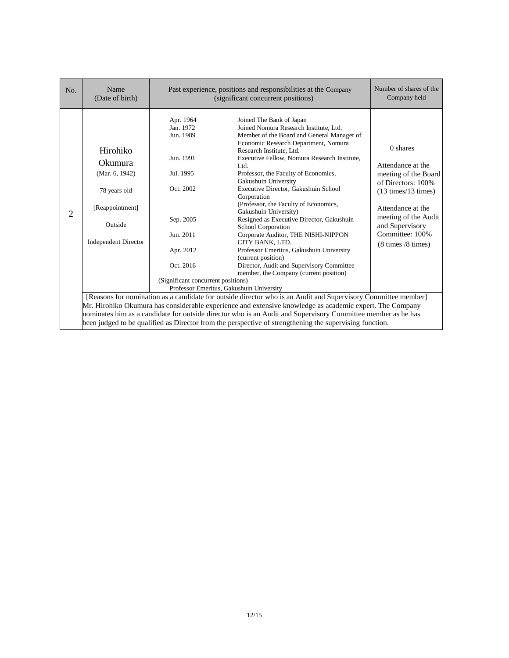| No.                                                                                                          | Name<br>(Date of birth)                                                                                                   | Past experience, positions and responsibilities at the Company<br>(significant concurrent positions)                                                                 | Number of shares of the<br>Company held                                                                                                                                                                                                                                                                                                                                                                                                                                                                                                                                                                                                                                                                                                                                        |                                                                                                                                                                                                                                     |  |
|--------------------------------------------------------------------------------------------------------------|---------------------------------------------------------------------------------------------------------------------------|----------------------------------------------------------------------------------------------------------------------------------------------------------------------|--------------------------------------------------------------------------------------------------------------------------------------------------------------------------------------------------------------------------------------------------------------------------------------------------------------------------------------------------------------------------------------------------------------------------------------------------------------------------------------------------------------------------------------------------------------------------------------------------------------------------------------------------------------------------------------------------------------------------------------------------------------------------------|-------------------------------------------------------------------------------------------------------------------------------------------------------------------------------------------------------------------------------------|--|
| $\overline{2}$                                                                                               | Hirohiko<br><b>Okumura</b><br>(Mar. 6, 1942)<br>78 years old<br>[Reappointment]<br>Outside<br><b>Independent Director</b> | Apr. 1964<br>Jan. 1972<br>Jun. 1989<br>Jun. 1991<br>Jul. 1995<br>Oct. 2002<br>Sep. 2005<br>Jun. 2011<br>Apr. 2012<br>Oct. 2016<br>(Significant concurrent positions) | Joined The Bank of Japan<br>Joined Nomura Research Institute, Ltd.<br>Member of the Board and General Manager of<br>Economic Research Department, Nomura<br>Research Institute, Ltd.<br>Executive Fellow, Nomura Research Institute,<br>Ltd.<br>Professor, the Faculty of Economics,<br>Gakushuin University<br>Executive Director, Gakushuin School<br>Corporation<br>(Professor, the Faculty of Economics,<br>Gakushuin University)<br>Resigned as Executive Director, Gakushuin<br><b>School Corporation</b><br>Corporate Auditor, THE NISHI-NIPPON<br>CITY BANK, LTD.<br>Professor Emeritus, Gakushuin University<br>(current position)<br>Director, Audit and Supervisory Committee<br>member, the Company (current position)<br>Professor Emeritus, Gakushuin University | 0 shares<br>Attendance at the<br>meeting of the Board<br>of Directors: 100%<br>$(13 \text{ times}/13 \text{ times})$<br>Attendance at the<br>meeting of the Audit<br>and Supervisory<br>Committee: 100%<br>$(8 \times / 8 \times )$ |  |
|                                                                                                              |                                                                                                                           | [Reasons for nomination as a candidate for outside director who is an Audit and Supervisory Committee member]                                                        |                                                                                                                                                                                                                                                                                                                                                                                                                                                                                                                                                                                                                                                                                                                                                                                |                                                                                                                                                                                                                                     |  |
|                                                                                                              |                                                                                                                           |                                                                                                                                                                      | Mr. Hirohiko Okumura has considerable experience and extensive knowledge as academic expert. The Company                                                                                                                                                                                                                                                                                                                                                                                                                                                                                                                                                                                                                                                                       |                                                                                                                                                                                                                                     |  |
| nominates him as a candidate for outside director who is an Audit and Supervisory Committee member as he has |                                                                                                                           |                                                                                                                                                                      |                                                                                                                                                                                                                                                                                                                                                                                                                                                                                                                                                                                                                                                                                                                                                                                |                                                                                                                                                                                                                                     |  |
|                                                                                                              | been judged to be qualified as Director from the perspective of strengthening the supervising function.                   |                                                                                                                                                                      |                                                                                                                                                                                                                                                                                                                                                                                                                                                                                                                                                                                                                                                                                                                                                                                |                                                                                                                                                                                                                                     |  |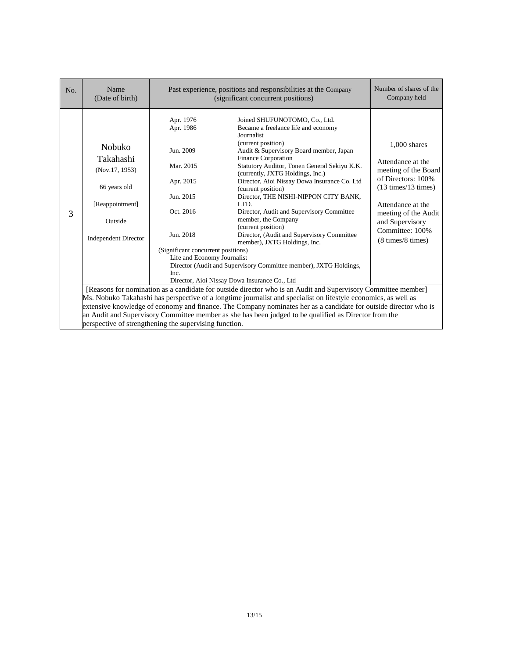| No. | Name<br>(Date of birth)                                                                                                                                         | Past experience, positions and responsibilities at the Company<br>(significant concurrent positions)                                                                              | Number of shares of the<br>Company held                                                                                                                                                                                                                                                                                                                                                                                                                                                                                                                                                                                                                                                                                                                                                                                                                                                                                                                                                                                                            |                                                                                                                                                                                                                                          |  |
|-----|-----------------------------------------------------------------------------------------------------------------------------------------------------------------|-----------------------------------------------------------------------------------------------------------------------------------------------------------------------------------|----------------------------------------------------------------------------------------------------------------------------------------------------------------------------------------------------------------------------------------------------------------------------------------------------------------------------------------------------------------------------------------------------------------------------------------------------------------------------------------------------------------------------------------------------------------------------------------------------------------------------------------------------------------------------------------------------------------------------------------------------------------------------------------------------------------------------------------------------------------------------------------------------------------------------------------------------------------------------------------------------------------------------------------------------|------------------------------------------------------------------------------------------------------------------------------------------------------------------------------------------------------------------------------------------|--|
| 3   | <b>Nobuko</b><br>Takahashi<br>(Nov.17, 1953)<br>66 years old<br>[Reappointment]<br>Outside<br><b>Independent Director</b>                                       | Apr. 1976<br>Apr. 1986<br>Jun. 2009<br>Mar. 2015<br>Apr. 2015<br>Jun. 2015<br>Oct. 2016<br>Jun. 2018<br>(Significant concurrent positions)<br>Life and Economy Journalist<br>Inc. | Joined SHUFUNOTOMO, Co., Ltd.<br>Became a freelance life and economy<br>Journalist<br>(current position)<br>Audit & Supervisory Board member, Japan<br><b>Finance Corporation</b><br>Statutory Auditor, Tonen General Sekiyu K.K.<br>(currently, JXTG Holdings, Inc.)<br>Director, Aioi Nissay Dowa Insurance Co. Ltd<br>(current position)<br>Director, THE NISHI-NIPPON CITY BANK,<br>LTD.<br>Director, Audit and Supervisory Committee<br>member, the Company<br>(current position)<br>Director, (Audit and Supervisory Committee<br>member), JXTG Holdings, Inc.<br>Director (Audit and Supervisory Committee member), JXTG Holdings,<br>Director, Aioi Nissay Dowa Insurance Co., Ltd<br>[Reasons for nomination as a candidate for outside director who is an Audit and Supervisory Committee member]<br>Ms. Nobuko Takahashi has perspective of a longtime journalist and specialist on lifestyle economics, as well as<br>extensive knowledge of economy and finance. The Company nominates her as a candidate for outside director who is | $1,000$ shares<br>Attendance at the<br>meeting of the Board<br>of Directors: 100%<br>$(13 \text{ times}/13 \text{ times})$<br>Attendance at the<br>meeting of the Audit<br>and Supervisory<br>Committee: 100%<br>$(8 \times 8 \times 1)$ |  |
|     | an Audit and Supervisory Committee member as she has been judged to be qualified as Director from the<br>perspective of strengthening the supervising function. |                                                                                                                                                                                   |                                                                                                                                                                                                                                                                                                                                                                                                                                                                                                                                                                                                                                                                                                                                                                                                                                                                                                                                                                                                                                                    |                                                                                                                                                                                                                                          |  |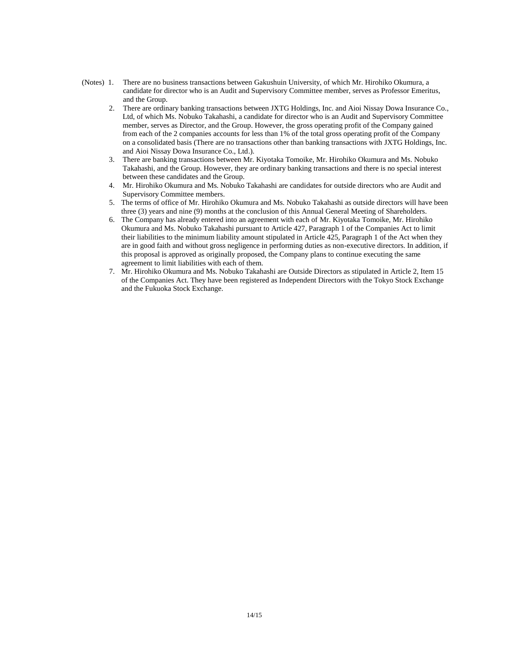- (Notes) 1. There are no business transactions between Gakushuin University, of which Mr. Hirohiko Okumura, a candidate for director who is an Audit and Supervisory Committee member, serves as Professor Emeritus, and the Group.
	- 2. There are ordinary banking transactions between JXTG Holdings, Inc. and Aioi Nissay Dowa Insurance Co., Ltd, of which Ms. Nobuko Takahashi, a candidate for director who is an Audit and Supervisory Committee member, serves as Director, and the Group. However, the gross operating profit of the Company gained from each of the 2 companies accounts for less than 1% of the total gross operating profit of the Company on a consolidated basis (There are no transactions other than banking transactions with JXTG Holdings, Inc. and Aioi Nissay Dowa Insurance Co., Ltd.).
	- 3. There are banking transactions between Mr. Kiyotaka Tomoike, Mr. Hirohiko Okumura and Ms. Nobuko Takahashi, and the Group. However, they are ordinary banking transactions and there is no special interest between these candidates and the Group.
	- 4. Mr. Hirohiko Okumura and Ms. Nobuko Takahashi are candidates for outside directors who are Audit and Supervisory Committee members.
	- 5. The terms of office of Mr. Hirohiko Okumura and Ms. Nobuko Takahashi as outside directors will have been three (3) years and nine (9) months at the conclusion of this Annual General Meeting of Shareholders.
	- 6. The Company has already entered into an agreement with each of Mr. Kiyotaka Tomoike, Mr. Hirohiko Okumura and Ms. Nobuko Takahashi pursuant to Article 427, Paragraph 1 of the Companies Act to limit their liabilities to the minimum liability amount stipulated in Article 425, Paragraph 1 of the Act when they are in good faith and without gross negligence in performing duties as non-executive directors. In addition, if this proposal is approved as originally proposed, the Company plans to continue executing the same agreement to limit liabilities with each of them.
	- 7. Mr. Hirohiko Okumura and Ms. Nobuko Takahashi are Outside Directors as stipulated in Article 2, Item 15 of the Companies Act. They have been registered as Independent Directors with the Tokyo Stock Exchange and the Fukuoka Stock Exchange.